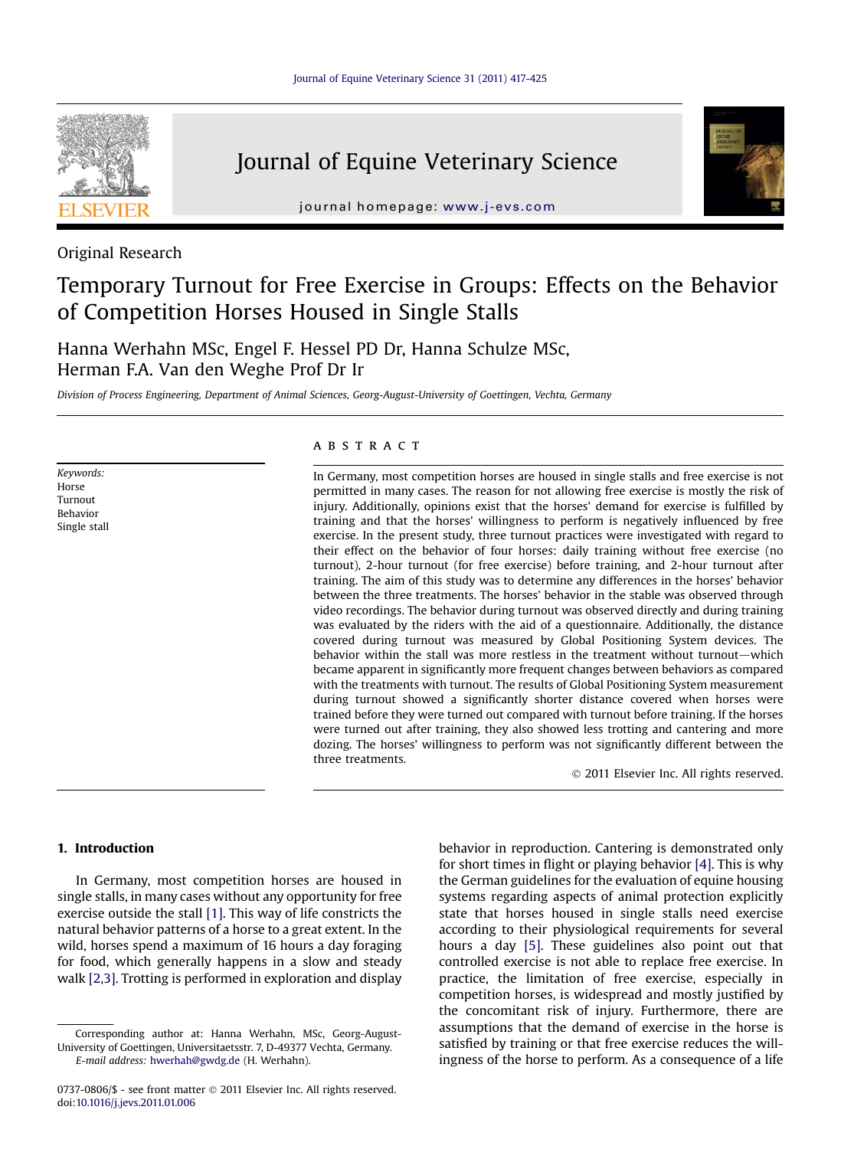

## Journal of Equine Veterinary Science

journal homepage: [www.j-evs.com](http://www.j-evs.com)

Original Research

# Temporary Turnout for Free Exercise in Groups: Effects on the Behavior of Competition Horses Housed in Single Stalls

Hanna Werhahn MSc, Engel F. Hessel PD Dr, Hanna Schulze MSc, Herman F.A. Van den Weghe Prof Dr Ir

Division of Process Engineering, Department of Animal Sciences, Georg-August-University of Goettingen, Vechta, Germany

Keywords: Horse Turnout Behavior Single stall

## **ABSTRACT**

In Germany, most competition horses are housed in single stalls and free exercise is not permitted in many cases. The reason for not allowing free exercise is mostly the risk of injury. Additionally, opinions exist that the horses' demand for exercise is fulfilled by training and that the horses' willingness to perform is negatively influenced by free exercise. In the present study, three turnout practices were investigated with regard to their effect on the behavior of four horses: daily training without free exercise (no turnout), 2-hour turnout (for free exercise) before training, and 2-hour turnout after training. The aim of this study was to determine any differences in the horses' behavior between the three treatments. The horses' behavior in the stable was observed through video recordings. The behavior during turnout was observed directly and during training was evaluated by the riders with the aid of a questionnaire. Additionally, the distance covered during turnout was measured by Global Positioning System devices. The behavior within the stall was more restless in the treatment without turnout—which became apparent in significantly more frequent changes between behaviors as compared with the treatments with turnout. The results of Global Positioning System measurement during turnout showed a significantly shorter distance covered when horses were trained before they were turned out compared with turnout before training. If the horses were turned out after training, they also showed less trotting and cantering and more dozing. The horses' willingness to perform was not significantly different between the three treatments.

2011 Elsevier Inc. All rights reserved.

## 1. Introduction

In Germany, most competition horses are housed in single stalls, in many cases without any opportunity for free exercise outside the stall [\[1\]](#page-7-0). This way of life constricts the natural behavior patterns of a horse to a great extent. In the wild, horses spend a maximum of 16 hours a day foraging for food, which generally happens in a slow and steady walk [\[2,3\]](#page-7-0). Trotting is performed in exploration and display behavior in reproduction. Cantering is demonstrated only for short times in flight or playing behavior [\[4\].](#page-7-0) This is why the German guidelines for the evaluation of equine housing systems regarding aspects of animal protection explicitly state that horses housed in single stalls need exercise according to their physiological requirements for several hours a day [\[5\]](#page-7-0). These guidelines also point out that controlled exercise is not able to replace free exercise. In practice, the limitation of free exercise, especially in competition horses, is widespread and mostly justified by the concomitant risk of injury. Furthermore, there are assumptions that the demand of exercise in the horse is satisfied by training or that free exercise reduces the willingness of the horse to perform. As a consequence of a life

Corresponding author at: Hanna Werhahn, MSc, Georg-August-University of Goettingen, Universitaetsstr. 7, D-49377 Vechta, Germany. E-mail address: [hwerhah@gwdg.de](mailto:hwerhah@gwdg.de) (H. Werhahn).

<sup>0737-0806/\$ -</sup> see front matter © 2011 Elsevier Inc. All rights reserved. doi:[10.1016/j.jevs.2011.01.006](http://dx.doi.org/10.1016/j.jevs.2011.01.006)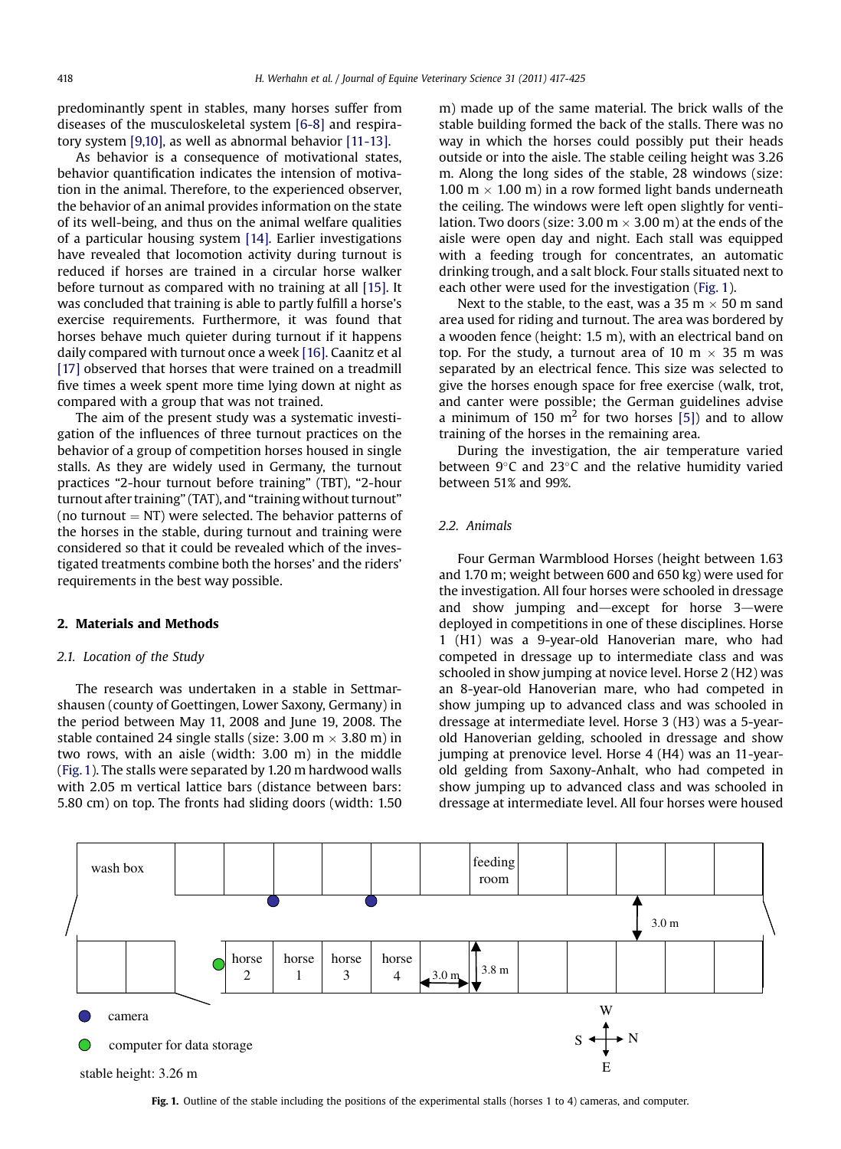<span id="page-1-0"></span>predominantly spent in stables, many horses suffer from diseases of the musculoskeletal system [\[6-8\]](#page-7-0) and respiratory system [\[9,10\],](#page-7-0) as well as abnormal behavior [\[11-13\]](#page-7-0).

As behavior is a consequence of motivational states, behavior quantification indicates the intension of motivation in the animal. Therefore, to the experienced observer, the behavior of an animal provides information on the state of its well-being, and thus on the animal welfare qualities of a particular housing system [\[14\].](#page-7-0) Earlier investigations have revealed that locomotion activity during turnout is reduced if horses are trained in a circular horse walker before turnout as compared with no training at all [\[15\].](#page-7-0) It was concluded that training is able to partly fulfill a horse's exercise requirements. Furthermore, it was found that horses behave much quieter during turnout if it happens daily compared with turnout once a week [\[16\].](#page-7-0) Caanitz et al [\[17\]](#page-7-0) observed that horses that were trained on a treadmill five times a week spent more time lying down at night as compared with a group that was not trained.

The aim of the present study was a systematic investigation of the influences of three turnout practices on the behavior of a group of competition horses housed in single stalls. As they are widely used in Germany, the turnout practices "2-hour turnout before training" (TBT), "2-hour turnout after training" (TAT), and "training without turnout" (no turnout  $=$  NT) were selected. The behavior patterns of the horses in the stable, during turnout and training were considered so that it could be revealed which of the investigated treatments combine both the horses' and the riders' requirements in the best way possible.

## 2. Materials and Methods

## 2.1. Location of the Study

The research was undertaken in a stable in Settmarshausen (county of Goettingen, Lower Saxony, Germany) in the period between May 11, 2008 and June 19, 2008. The stable contained 24 single stalls (size: 3.00 m  $\times$  3.80 m) in two rows, with an aisle (width: 3.00 m) in the middle (Fig. 1). The stalls were separated by 1.20 m hardwood walls with 2.05 m vertical lattice bars (distance between bars: 5.80 cm) on top. The fronts had sliding doors (width: 1.50

m) made up of the same material. The brick walls of the stable building formed the back of the stalls. There was no way in which the horses could possibly put their heads outside or into the aisle. The stable ceiling height was 3.26 m. Along the long sides of the stable, 28 windows (size: 1.00 m  $\times$  1.00 m) in a row formed light bands underneath the ceiling. The windows were left open slightly for ventilation. Two doors (size:  $3.00 \text{ m} \times 3.00 \text{ m}$ ) at the ends of the aisle were open day and night. Each stall was equipped with a feeding trough for concentrates, an automatic drinking trough, and a salt block. Four stalls situated next to each other were used for the investigation (Fig. 1).

Next to the stable, to the east, was a 35 m  $\times$  50 m sand area used for riding and turnout. The area was bordered by a wooden fence (height: 1.5 m), with an electrical band on top. For the study, a turnout area of 10 m  $\times$  35 m was separated by an electrical fence. This size was selected to give the horses enough space for free exercise (walk, trot, and canter were possible; the German guidelines advise a minimum of 150  $m<sup>2</sup>$  for two horses [\[5\]](#page-7-0)) and to allow training of the horses in the remaining area.

During the investigation, the air temperature varied between  $9^{\circ}$ C and  $23^{\circ}$ C and the relative humidity varied between 51% and 99%.

## 2.2. Animals

Four German Warmblood Horses (height between 1.63 and 1.70 m; weight between 600 and 650 kg) were used for the investigation. All four horses were schooled in dressage and show jumping and—except for horse  $3$ —were deployed in competitions in one of these disciplines. Horse 1 (H1) was a 9-year-old Hanoverian mare, who had competed in dressage up to intermediate class and was schooled in show jumping at novice level. Horse 2 (H2) was an 8-year-old Hanoverian mare, who had competed in show jumping up to advanced class and was schooled in dressage at intermediate level. Horse 3 (H3) was a 5-yearold Hanoverian gelding, schooled in dressage and show jumping at prenovice level. Horse 4 (H4) was an 11-yearold gelding from Saxony-Anhalt, who had competed in show jumping up to advanced class and was schooled in dressage at intermediate level. All four horses were housed



Fig. 1. Outline of the stable including the positions of the experimental stalls (horses 1 to 4) cameras, and computer.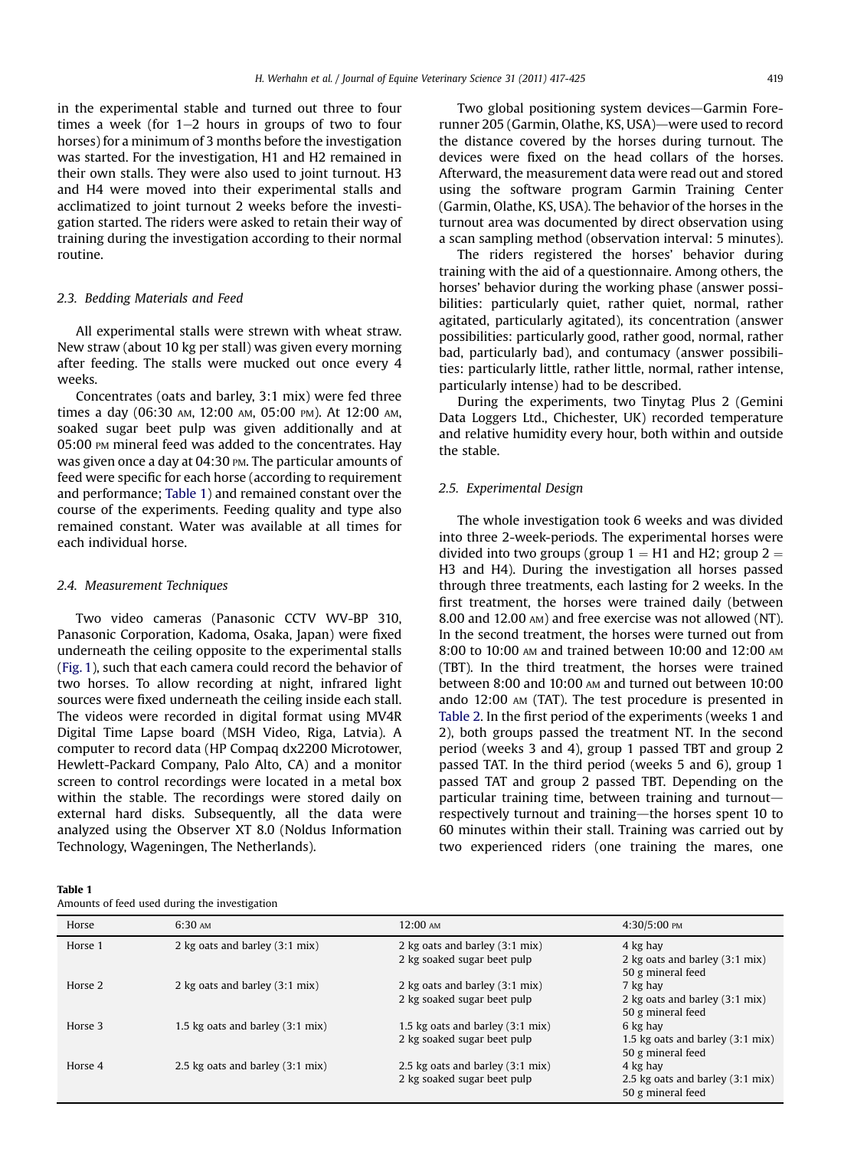in the experimental stable and turned out three to four times a week (for  $1-2$  hours in groups of two to four horses) for a minimum of 3 months before the investigation was started. For the investigation, H1 and H2 remained in their own stalls. They were also used to joint turnout. H3 and H4 were moved into their experimental stalls and acclimatized to joint turnout 2 weeks before the investigation started. The riders were asked to retain their way of training during the investigation according to their normal routine.

## 2.3. Bedding Materials and Feed

All experimental stalls were strewn with wheat straw. New straw (about 10 kg per stall) was given every morning after feeding. The stalls were mucked out once every 4 weeks.

Concentrates (oats and barley, 3:1 mix) were fed three times a day (06:30 AM, 12:00 AM, 05:00 PM). At 12:00 AM, soaked sugar beet pulp was given additionally and at 05:00 PM mineral feed was added to the concentrates. Hay was given once a day at 04:30 PM. The particular amounts of feed were specific for each horse (according to requirement and performance; Table 1) and remained constant over the course of the experiments. Feeding quality and type also remained constant. Water was available at all times for each individual horse.

## 2.4. Measurement Techniques

Two video cameras (Panasonic CCTV WV-BP 310, Panasonic Corporation, Kadoma, Osaka, Japan) were fixed underneath the ceiling opposite to the experimental stalls ([Fig. 1](#page-1-0)), such that each camera could record the behavior of two horses. To allow recording at night, infrared light sources were fixed underneath the ceiling inside each stall. The videos were recorded in digital format using MV4R Digital Time Lapse board (MSH Video, Riga, Latvia). A computer to record data (HP Compaq dx2200 Microtower, Hewlett-Packard Company, Palo Alto, CA) and a monitor screen to control recordings were located in a metal box within the stable. The recordings were stored daily on external hard disks. Subsequently, all the data were analyzed using the Observer XT 8.0 (Noldus Information Technology, Wageningen, The Netherlands).

Two global positioning system devices-Garmin Forerunner 205 (Garmin, Olathe, KS, USA)—were used to record the distance covered by the horses during turnout. The devices were fixed on the head collars of the horses. Afterward, the measurement data were read out and stored using the software program Garmin Training Center (Garmin, Olathe, KS, USA). The behavior of the horses in the turnout area was documented by direct observation using a scan sampling method (observation interval: 5 minutes).

The riders registered the horses' behavior during training with the aid of a questionnaire. Among others, the horses' behavior during the working phase (answer possibilities: particularly quiet, rather quiet, normal, rather agitated, particularly agitated), its concentration (answer possibilities: particularly good, rather good, normal, rather bad, particularly bad), and contumacy (answer possibilities: particularly little, rather little, normal, rather intense, particularly intense) had to be described.

During the experiments, two Tinytag Plus 2 (Gemini Data Loggers Ltd., Chichester, UK) recorded temperature and relative humidity every hour, both within and outside the stable.

## 2.5. Experimental Design

The whole investigation took 6 weeks and was divided into three 2-week-periods. The experimental horses were divided into two groups (group  $1 = H1$  and H2; group  $2 =$ H3 and H4). During the investigation all horses passed through three treatments, each lasting for 2 weeks. In the first treatment, the horses were trained daily (between 8.00 and 12.00 AM) and free exercise was not allowed (NT). In the second treatment, the horses were turned out from 8:00 to 10:00 AM and trained between 10:00 and 12:00 AM (TBT). In the third treatment, the horses were trained between 8:00 and 10:00 AM and turned out between 10:00 ando 12:00 AM (TAT). The test procedure is presented in [Table 2.](#page-3-0) In the first period of the experiments (weeks 1 and 2), both groups passed the treatment NT. In the second period (weeks 3 and 4), group 1 passed TBT and group 2 passed TAT. In the third period (weeks 5 and 6), group 1 passed TAT and group 2 passed TBT. Depending on the particular training time, between training and turnout $$ respectively turnout and training—the horses spent 10 to 60 minutes within their stall. Training was carried out by two experienced riders (one training the mares, one

| Table 1 |  |  |                                               |
|---------|--|--|-----------------------------------------------|
|         |  |  | Amounts of feed used during the investigation |

| Horse   | 6:30 AM                          | 12:00 AM                                   | $4:30/5:00$ PM                   |
|---------|----------------------------------|--------------------------------------------|----------------------------------|
| Horse 1 | 2 kg oats and barley (3:1 mix)   | 2 kg oats and barley (3:1 mix)             | 4 kg hay                         |
|         |                                  | 2 kg soaked sugar beet pulp                | 2 kg oats and barley (3:1 mix)   |
|         |                                  |                                            | 50 g mineral feed                |
| Horse 2 | 2 kg oats and barley (3:1 mix)   | 2 kg oats and barley (3:1 mix)             | 7 kg hay                         |
|         |                                  | 2 kg soaked sugar beet pulp                | 2 kg oats and barley (3:1 mix)   |
|         |                                  |                                            | 50 g mineral feed                |
| Horse 3 | 1.5 kg oats and barley (3:1 mix) | 1.5 kg oats and barley $(3:1 \text{ mix})$ | 6 kg hay                         |
|         |                                  | 2 kg soaked sugar beet pulp                | 1.5 kg oats and barley (3:1 mix) |
|         |                                  |                                            | 50 g mineral feed                |
| Horse 4 | 2.5 kg oats and barley (3:1 mix) | 2.5 kg oats and barley (3:1 mix)           | 4 kg hay                         |
|         |                                  | 2 kg soaked sugar beet pulp                | 2.5 kg oats and barley (3:1 mix) |
|         |                                  |                                            | 50 g mineral feed                |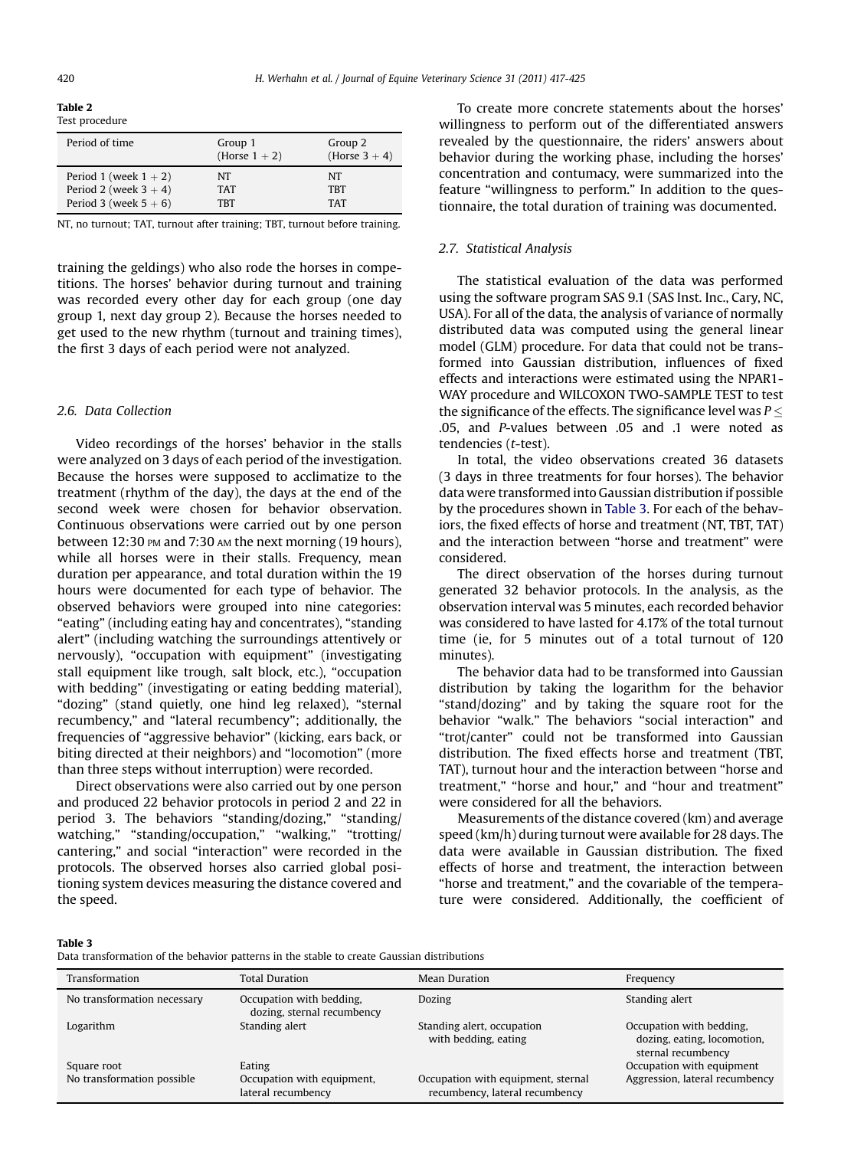<span id="page-3-0"></span>Table 2 Test procedure

| Period of time                                                                   | Group 1<br>(Horse $1 + 2$ )    | Group 2<br>$(Horse 3 + 4)$     |
|----------------------------------------------------------------------------------|--------------------------------|--------------------------------|
| Period 1 (week $1 + 2$ )<br>Period 2 (week $3 + 4$ )<br>Period 3 (week $5 + 6$ ) | NT<br><b>TAT</b><br><b>TRT</b> | NT<br><b>TBT</b><br><b>TAT</b> |

NT, no turnout; TAT, turnout after training; TBT, turnout before training.

training the geldings) who also rode the horses in competitions. The horses' behavior during turnout and training was recorded every other day for each group (one day group 1, next day group 2). Because the horses needed to get used to the new rhythm (turnout and training times), the first 3 days of each period were not analyzed.

## 2.6. Data Collection

Video recordings of the horses' behavior in the stalls were analyzed on 3 days of each period of the investigation. Because the horses were supposed to acclimatize to the treatment (rhythm of the day), the days at the end of the second week were chosen for behavior observation. Continuous observations were carried out by one person between 12:30 PM and 7:30 AM the next morning (19 hours), while all horses were in their stalls. Frequency, mean duration per appearance, and total duration within the 19 hours were documented for each type of behavior. The observed behaviors were grouped into nine categories: "eating" (including eating hay and concentrates), "standing alert" (including watching the surroundings attentively or nervously), "occupation with equipment" (investigating stall equipment like trough, salt block, etc.), "occupation with bedding" (investigating or eating bedding material), "dozing" (stand quietly, one hind leg relaxed), "sternal recumbency," and "lateral recumbency"; additionally, the frequencies of "aggressive behavior" (kicking, ears back, or biting directed at their neighbors) and "locomotion" (more than three steps without interruption) were recorded.

Direct observations were also carried out by one person and produced 22 behavior protocols in period 2 and 22 in period 3. The behaviors "standing/dozing," "standing/ watching," "standing/occupation," "walking," "trotting/ cantering," and social "interaction" were recorded in the protocols. The observed horses also carried global positioning system devices measuring the distance covered and the speed.

To create more concrete statements about the horses' willingness to perform out of the differentiated answers revealed by the questionnaire, the riders' answers about behavior during the working phase, including the horses' concentration and contumacy, were summarized into the feature "willingness to perform." In addition to the questionnaire, the total duration of training was documented.

## 2.7. Statistical Analysis

The statistical evaluation of the data was performed using the software program SAS 9.1 (SAS Inst. Inc., Cary, NC, USA). For all of the data, the analysis of variance of normally distributed data was computed using the general linear model (GLM) procedure. For data that could not be transformed into Gaussian distribution, influences of fixed effects and interactions were estimated using the NPAR1- WAY procedure and WILCOXON TWO-SAMPLE TEST to test the significance of the effects. The significance level was  $P \leq$ .05, and P-values between .05 and .1 were noted as tendencies (t-test).

In total, the video observations created 36 datasets (3 days in three treatments for four horses). The behavior data were transformed into Gaussian distribution if possible by the procedures shown in Table 3. For each of the behaviors, the fixed effects of horse and treatment (NT, TBT, TAT) and the interaction between "horse and treatment" were considered.

The direct observation of the horses during turnout generated 32 behavior protocols. In the analysis, as the observation interval was 5 minutes, each recorded behavior was considered to have lasted for 4.17% of the total turnout time (ie, for 5 minutes out of a total turnout of 120 minutes).

The behavior data had to be transformed into Gaussian distribution by taking the logarithm for the behavior "stand/dozing" and by taking the square root for the behavior "walk." The behaviors "social interaction" and "trot/canter" could not be transformed into Gaussian distribution. The fixed effects horse and treatment (TBT, TAT), turnout hour and the interaction between "horse and treatment," "horse and hour," and "hour and treatment" were considered for all the behaviors.

Measurements of the distance covered (km) and average speed (km/h) during turnout were available for 28 days. The data were available in Gaussian distribution. The fixed effects of horse and treatment, the interaction between "horse and treatment," and the covariable of the temperature were considered. Additionally, the coefficient of

## Table 3

Data transformation of the behavior patterns in the stable to create Gaussian distributions

| Transformation              | <b>Total Duration</b>                                  | Mean Duration                                                        | Frequency                                                                     |
|-----------------------------|--------------------------------------------------------|----------------------------------------------------------------------|-------------------------------------------------------------------------------|
| No transformation necessary | Occupation with bedding,<br>dozing, sternal recumbency | Dozing                                                               | Standing alert                                                                |
| Logarithm                   | Standing alert                                         | Standing alert, occupation<br>with bedding, eating                   | Occupation with bedding,<br>dozing, eating, locomotion,<br>sternal recumbency |
| Square root                 | Eating                                                 |                                                                      | Occupation with equipment                                                     |
| No transformation possible  | Occupation with equipment,<br>lateral recumbency       | Occupation with equipment, sternal<br>recumbency, lateral recumbency | Aggression, lateral recumbency                                                |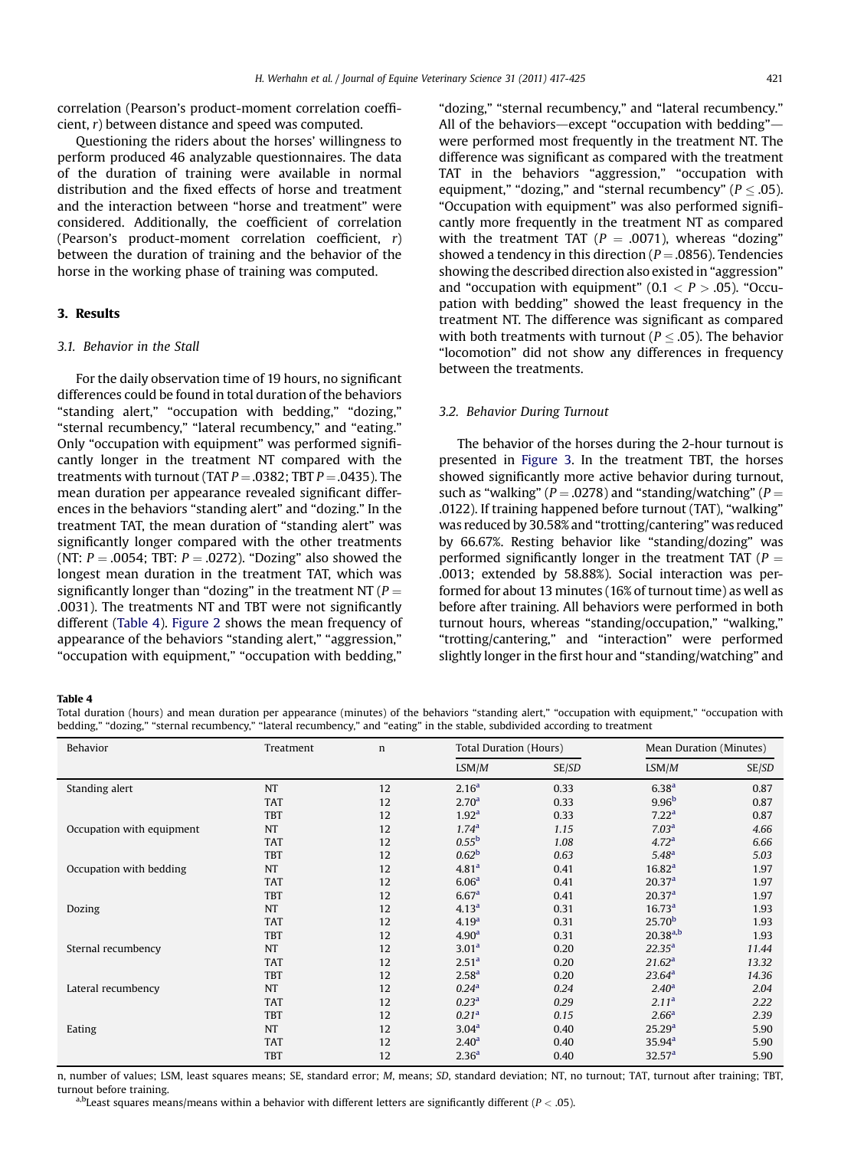correlation (Pearson's product-moment correlation coefficient, r) between distance and speed was computed.

Questioning the riders about the horses' willingness to perform produced 46 analyzable questionnaires. The data of the duration of training were available in normal distribution and the fixed effects of horse and treatment and the interaction between "horse and treatment" were considered. Additionally, the coefficient of correlation (Pearson's product-moment correlation coefficient, r) between the duration of training and the behavior of the horse in the working phase of training was computed.

## 3. Results

## 3.1. Behavior in the Stall

For the daily observation time of 19 hours, no significant differences could be found in total duration of the behaviors "standing alert," "occupation with bedding," "dozing," "sternal recumbency," "lateral recumbency," and "eating." Only "occupation with equipment" was performed significantly longer in the treatment NT compared with the treatments with turnout (TAT  $P = .0382$ ; TBT  $P = .0435$ ). The mean duration per appearance revealed significant differences in the behaviors "standing alert" and "dozing." In the treatment TAT, the mean duration of "standing alert" was significantly longer compared with the other treatments (NT:  $P = .0054$ ; TBT:  $P = .0272$ ). "Dozing" also showed the longest mean duration in the treatment TAT, which was significantly longer than "dozing" in the treatment NT ( $P =$ .0031). The treatments NT and TBT were not significantly different (Table 4). [Figure 2](#page-5-0) shows the mean frequency of appearance of the behaviors "standing alert," "aggression," "occupation with equipment," "occupation with bedding,"

"dozing," "sternal recumbency," and "lateral recumbency." All of the behaviors-except "occupation with bedding" $$ were performed most frequently in the treatment NT. The difference was significant as compared with the treatment TAT in the behaviors "aggression," "occupation with equipment," "dozing," and "sternal recumbency" ( $P \le .05$ ). "Occupation with equipment" was also performed significantly more frequently in the treatment NT as compared with the treatment TAT ( $P = .0071$ ), whereas "dozing" showed a tendency in this direction ( $P = .0856$ ). Tendencies showing the described direction also existed in "aggression" and "occupation with equipment"  $(0.1 < P > .05)$ . "Occupation with bedding" showed the least frequency in the treatment NT. The difference was significant as compared with both treatments with turnout ( $P < .05$ ). The behavior "locomotion" did not show any differences in frequency between the treatments.

## 3.2. Behavior During Turnout

The behavior of the horses during the 2-hour turnout is presented in [Figure 3](#page-5-0). In the treatment TBT, the horses showed significantly more active behavior during turnout, such as "walking" ( $P = .0278$ ) and "standing/watching" ( $P =$ .0122). If training happened before turnout (TAT), "walking" was reduced by 30.58% and "trotting/cantering" was reduced by 66.67%. Resting behavior like "standing/dozing" was performed significantly longer in the treatment TAT ( $P =$ .0013; extended by 58.88%). Social interaction was performed for about 13 minutes (16% of turnout time) as well as before after training. All behaviors were performed in both turnout hours, whereas "standing/occupation," "walking," "trotting/cantering," and "interaction" were performed slightly longer in the first hour and "standing/watching" and

#### Table 4

Total duration (hours) and mean duration per appearance (minutes) of the behaviors "standing alert," "occupation with equipment," "occupation with bedding," "dozing," "sternal recumbency," "lateral recumbency," and "eating" in the stable, subdivided according to treatment

| Behavior                  | Treatment  | n  | <b>Total Duration (Hours)</b> |       | Mean Duration (Minutes) |       |
|---------------------------|------------|----|-------------------------------|-------|-------------------------|-------|
|                           |            |    | LSM/M                         | SE/SD | LSM/M                   | SE/SD |
| Standing alert            | <b>NT</b>  | 12 | 2.16 <sup>a</sup>             | 0.33  | 6.38 <sup>a</sup>       | 0.87  |
|                           | <b>TAT</b> | 12 | 2.70 <sup>a</sup>             | 0.33  | 9.96 <sup>b</sup>       | 0.87  |
|                           | <b>TBT</b> | 12 | 1.92 <sup>a</sup>             | 0.33  | 7.22 <sup>a</sup>       | 0.87  |
| Occupation with equipment | NT         | 12 | 1.74 <sup>a</sup>             | 1.15  | 7.03 <sup>a</sup>       | 4.66  |
|                           | <b>TAT</b> | 12 | $0.55^{\rm b}$                | 1.08  | 4.72 <sup>a</sup>       | 6.66  |
|                           | TBT        | 12 | 0.62 <sup>b</sup>             | 0.63  | 5.48 <sup>a</sup>       | 5.03  |
| Occupation with bedding   | NT         | 12 | 4.81 <sup>a</sup>             | 0.41  | 16.82 <sup>a</sup>      | 1.97  |
|                           | <b>TAT</b> | 12 | 6.06 <sup>a</sup>             | 0.41  | 20.37 <sup>a</sup>      | 1.97  |
|                           | TBT        | 12 | 6.67 <sup>a</sup>             | 0.41  | 20.37 <sup>a</sup>      | 1.97  |
| Dozing                    | NT         | 12 | 4.13 <sup>a</sup>             | 0.31  | 16.73 <sup>a</sup>      | 1.93  |
|                           | <b>TAT</b> | 12 | 4.19 <sup>a</sup>             | 0.31  | 25.70 <sup>b</sup>      | 1.93  |
|                           | <b>TBT</b> | 12 | 4.90 <sup>a</sup>             | 0.31  | $20.38^{a,b}$           | 1.93  |
| Sternal recumbency        | NT         | 12 | 3.01 <sup>a</sup>             | 0.20  | $22.35^{\rm a}$         | 11.44 |
|                           | <b>TAT</b> | 12 | 2.51 <sup>a</sup>             | 0.20  | $21.62^{\rm a}$         | 13.32 |
|                           | TBT        | 12 | 2.58 <sup>a</sup>             | 0.20  | 23.64 <sup>a</sup>      | 14.36 |
| Lateral recumbency        | NT         | 12 | 0.24 <sup>a</sup>             | 0.24  | 2.40 <sup>a</sup>       | 2.04  |
|                           | <b>TAT</b> | 12 | 0.23 <sup>a</sup>             | 0.29  | 2.11 <sup>a</sup>       | 2.22  |
|                           | <b>TBT</b> | 12 | 0.21 <sup>a</sup>             | 0.15  | 2.66 <sup>a</sup>       | 2.39  |
| Eating                    | NT         | 12 | 3.04 <sup>a</sup>             | 0.40  | 25.29 <sup>a</sup>      | 5.90  |
|                           | <b>TAT</b> | 12 | 2.40 <sup>a</sup>             | 0.40  | 35.94 <sup>a</sup>      | 5.90  |
|                           | TBT        | 12 | 2.36 <sup>a</sup>             | 0.40  | 32.57 <sup>a</sup>      | 5.90  |

n, number of values; LSM, least squares means; SE, standard error; M, means; SD, standard deviation; NT, no turnout; TAT, turnout after training; TBT, turnout before training.

a,bLeast squares means/means within a behavior with different letters are significantly different ( $P < .05$ ).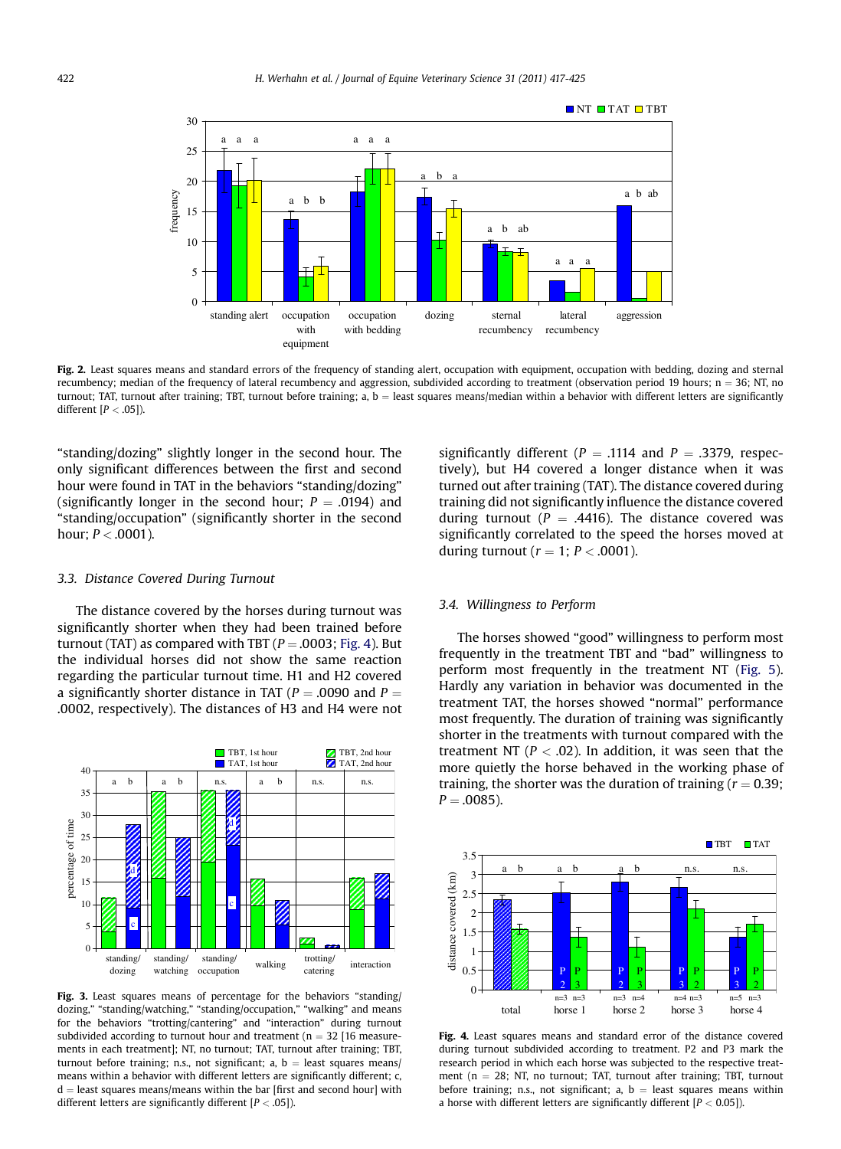<span id="page-5-0"></span>

Fig. 2. Least squares means and standard errors of the frequency of standing alert, occupation with equipment, occupation with bedding, dozing and sternal recumbency; median of the frequency of lateral recumbency and aggression, subdivided according to treatment (observation period 19 hours;  $n = 36$ ; NT, no turnout; TAT, turnout after training; TBT, turnout before training; a,  $b =$  least squares means/median within a behavior with different letters are significantly different  $[P < .05]$ ).

"standing/dozing" slightly longer in the second hour. The only significant differences between the first and second hour were found in TAT in the behaviors "standing/dozing" (significantly longer in the second hour;  $P = .0194$ ) and "standing/occupation" (significantly shorter in the second hour;  $P < .0001$ ).

## 3.3. Distance Covered During Turnout

The distance covered by the horses during turnout was significantly shorter when they had been trained before turnout (TAT) as compared with TBT ( $P = .0003$ ; Fig. 4). But the individual horses did not show the same reaction regarding the particular turnout time. H1 and H2 covered a significantly shorter distance in TAT ( $P = .0090$  and  $P =$ .0002, respectively). The distances of H3 and H4 were not



Fig. 3. Least squares means of percentage for the behaviors "standing/ dozing," "standing/watching," "standing/occupation," "walking" and means for the behaviors "trotting/cantering" and "interaction" during turnout subdivided according to turnout hour and treatment ( $n = 32$  [16 measurements in each treatment]; NT, no turnout; TAT, turnout after training; TBT, turnout before training; n.s., not significant; a,  $b =$  least squares means/ means within a behavior with different letters are significantly different; c,  $d =$  least squares means/means within the bar [first and second hour] with different letters are significantly different  $[P < .05]$ ).

significantly different ( $P = .1114$  and  $P = .3379$ , respectively), but H4 covered a longer distance when it was turned out after training (TAT). The distance covered during training did not significantly influence the distance covered during turnout ( $P = .4416$ ). The distance covered was significantly correlated to the speed the horses moved at during turnout ( $r = 1$ ;  $P < .0001$ ).

## 3.4. Willingness to Perform

The horses showed "good" willingness to perform most frequently in the treatment TBT and "bad" willingness to perform most frequently in the treatment NT ([Fig. 5](#page-6-0)). Hardly any variation in behavior was documented in the treatment TAT, the horses showed "normal" performance most frequently. The duration of training was significantly shorter in the treatments with turnout compared with the treatment NT ( $P < .02$ ). In addition, it was seen that the more quietly the horse behaved in the working phase of training, the shorter was the duration of training ( $r = 0.39$ ;  $P = .0085$ ).



Fig. 4. Least squares means and standard error of the distance covered during turnout subdivided according to treatment. P2 and P3 mark the research period in which each horse was subjected to the respective treatment ( $n = 28$ ; NT, no turnout; TAT, turnout after training; TBT, turnout before training; n.s., not significant; a,  $b =$  least squares means within a horse with different letters are significantly different  $[P < 0.05]$ ).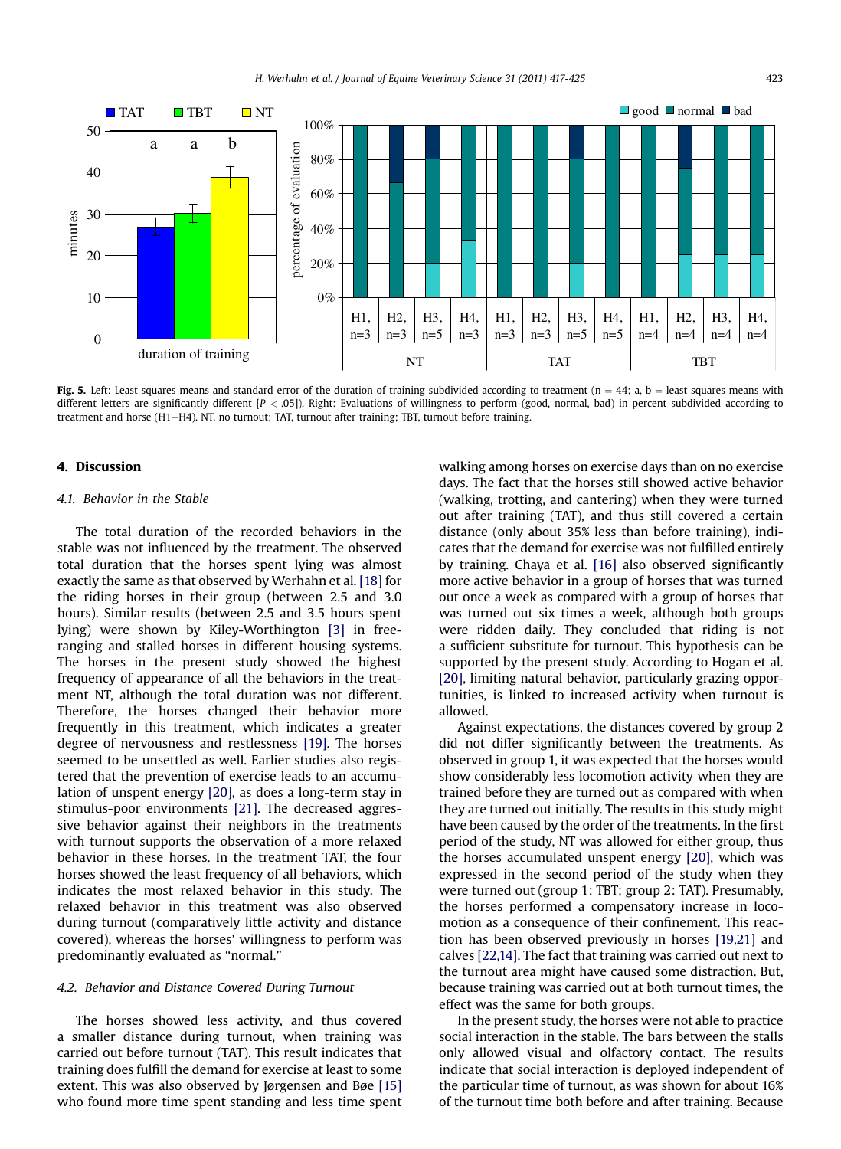<span id="page-6-0"></span>

Fig. 5. Left: Least squares means and standard error of the duration of training subdivided according to treatment (n = 44; a, b = least squares means with different letters are significantly different  $[P < .05]$ ). Right: Evaluations of willingness to perform (good, normal, bad) in percent subdivided according to treatment and horse (H1-H4). NT, no turnout; TAT, turnout after training; TBT, turnout before training.

## 4. Discussion

## 4.1. Behavior in the Stable

The total duration of the recorded behaviors in the stable was not influenced by the treatment. The observed total duration that the horses spent lying was almost exactly the same as that observed by Werhahn et al. [\[18\]](#page-7-0) for the riding horses in their group (between 2.5 and 3.0 hours). Similar results (between 2.5 and 3.5 hours spent lying) were shown by Kiley-Worthington [\[3\]](#page-7-0) in freeranging and stalled horses in different housing systems. The horses in the present study showed the highest frequency of appearance of all the behaviors in the treatment NT, although the total duration was not different. Therefore, the horses changed their behavior more frequently in this treatment, which indicates a greater degree of nervousness and restlessness [\[19\].](#page-8-0) The horses seemed to be unsettled as well. Earlier studies also registered that the prevention of exercise leads to an accumulation of unspent energy [\[20\]](#page-8-0), as does a long-term stay in stimulus-poor environments [\[21\]](#page-8-0). The decreased aggressive behavior against their neighbors in the treatments with turnout supports the observation of a more relaxed behavior in these horses. In the treatment TAT, the four horses showed the least frequency of all behaviors, which indicates the most relaxed behavior in this study. The relaxed behavior in this treatment was also observed during turnout (comparatively little activity and distance covered), whereas the horses' willingness to perform was predominantly evaluated as "normal."

#### 4.2. Behavior and Distance Covered During Turnout

The horses showed less activity, and thus covered a smaller distance during turnout, when training was carried out before turnout (TAT). This result indicates that training does fulfill the demand for exercise at least to some extent. This was also observed by Jørgensen and Bøe [\[15\]](#page-7-0) who found more time spent standing and less time spent

walking among horses on exercise days than on no exercise days. The fact that the horses still showed active behavior (walking, trotting, and cantering) when they were turned out after training (TAT), and thus still covered a certain distance (only about 35% less than before training), indicates that the demand for exercise was not fulfilled entirely by training. Chaya et al. [\[16\]](#page-7-0) also observed significantly more active behavior in a group of horses that was turned out once a week as compared with a group of horses that was turned out six times a week, although both groups were ridden daily. They concluded that riding is not a sufficient substitute for turnout. This hypothesis can be supported by the present study. According to Hogan et al. [\[20\]](#page-8-0), limiting natural behavior, particularly grazing opportunities, is linked to increased activity when turnout is allowed.

Against expectations, the distances covered by group 2 did not differ significantly between the treatments. As observed in group 1, it was expected that the horses would show considerably less locomotion activity when they are trained before they are turned out as compared with when they are turned out initially. The results in this study might have been caused by the order of the treatments. In the first period of the study, NT was allowed for either group, thus the horses accumulated unspent energy [\[20\]](#page-8-0), which was expressed in the second period of the study when they were turned out (group 1: TBT; group 2: TAT). Presumably, the horses performed a compensatory increase in locomotion as a consequence of their confinement. This reaction has been observed previously in horses [\[19,21\]](#page-8-0) and calves [\[22,14\]](#page-8-0). The fact that training was carried out next to the turnout area might have caused some distraction. But, because training was carried out at both turnout times, the effect was the same for both groups.

In the present study, the horses were not able to practice social interaction in the stable. The bars between the stalls only allowed visual and olfactory contact. The results indicate that social interaction is deployed independent of the particular time of turnout, as was shown for about 16% of the turnout time both before and after training. Because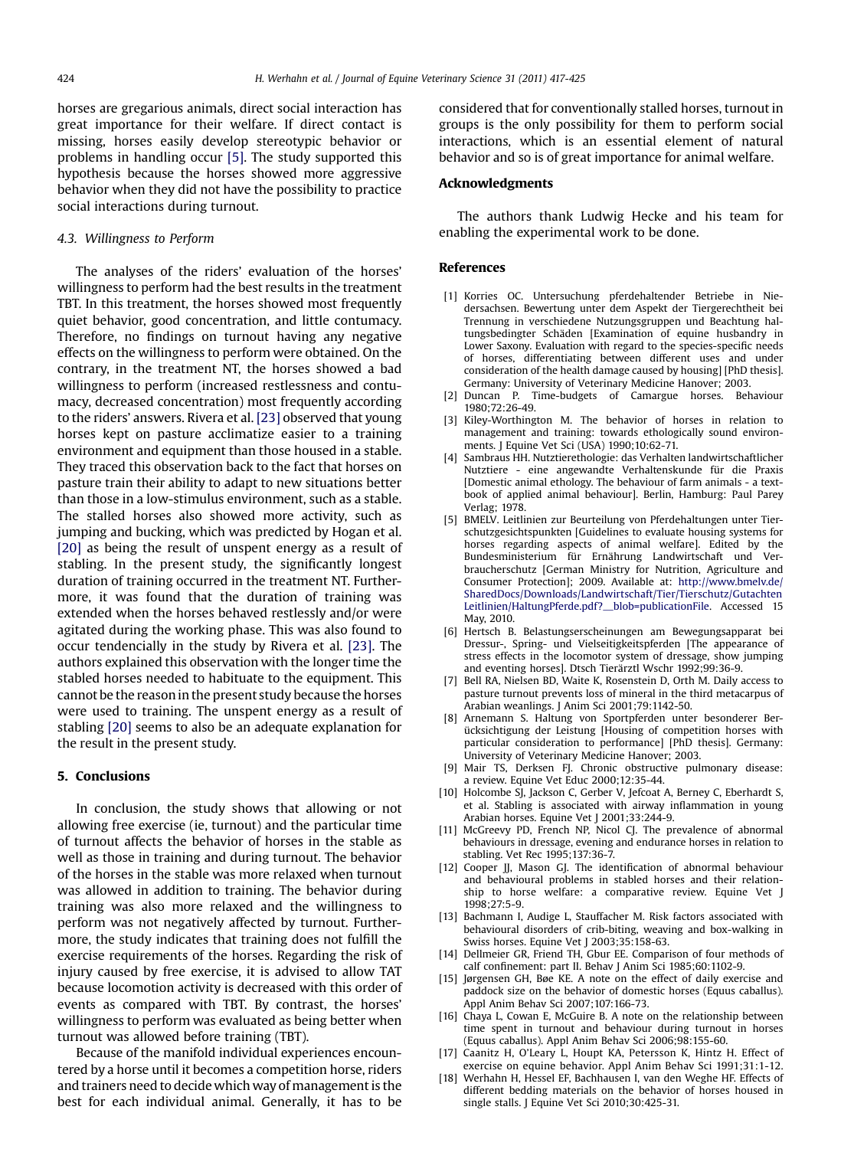<span id="page-7-0"></span>horses are gregarious animals, direct social interaction has great importance for their welfare. If direct contact is missing, horses easily develop stereotypic behavior or problems in handling occur [5]. The study supported this hypothesis because the horses showed more aggressive behavior when they did not have the possibility to practice social interactions during turnout.

## 4.3. Willingness to Perform

The analyses of the riders' evaluation of the horses' willingness to perform had the best results in the treatment TBT. In this treatment, the horses showed most frequently quiet behavior, good concentration, and little contumacy. Therefore, no findings on turnout having any negative effects on the willingness to perform were obtained. On the contrary, in the treatment NT, the horses showed a bad willingness to perform (increased restlessness and contumacy, decreased concentration) most frequently according to the riders' answers. Rivera et al. [\[23\]](#page-8-0) observed that young horses kept on pasture acclimatize easier to a training environment and equipment than those housed in a stable. They traced this observation back to the fact that horses on pasture train their ability to adapt to new situations better than those in a low-stimulus environment, such as a stable. The stalled horses also showed more activity, such as jumping and bucking, which was predicted by Hogan et al. [\[20\]](#page-8-0) as being the result of unspent energy as a result of stabling. In the present study, the significantly longest duration of training occurred in the treatment NT. Furthermore, it was found that the duration of training was extended when the horses behaved restlessly and/or were agitated during the working phase. This was also found to occur tendencially in the study by Rivera et al. [\[23\].](#page-8-0) The authors explained this observation with the longer time the stabled horses needed to habituate to the equipment. This cannot be the reason in the present study because the horses were used to training. The unspent energy as a result of stabling [\[20\]](#page-8-0) seems to also be an adequate explanation for the result in the present study.

## 5. Conclusions

In conclusion, the study shows that allowing or not allowing free exercise (ie, turnout) and the particular time of turnout affects the behavior of horses in the stable as well as those in training and during turnout. The behavior of the horses in the stable was more relaxed when turnout was allowed in addition to training. The behavior during training was also more relaxed and the willingness to perform was not negatively affected by turnout. Furthermore, the study indicates that training does not fulfill the exercise requirements of the horses. Regarding the risk of injury caused by free exercise, it is advised to allow TAT because locomotion activity is decreased with this order of events as compared with TBT. By contrast, the horses' willingness to perform was evaluated as being better when turnout was allowed before training (TBT).

Because of the manifold individual experiences encountered by a horse until it becomes a competition horse, riders and trainers need to decide which way of management is the best for each individual animal. Generally, it has to be

considered that for conventionally stalled horses, turnout in groups is the only possibility for them to perform social interactions, which is an essential element of natural behavior and so is of great importance for animal welfare.

#### Acknowledgments

The authors thank Ludwig Hecke and his team for enabling the experimental work to be done.

#### References

- [1] Korries OC. Untersuchung pferdehaltender Betriebe in Niedersachsen. Bewertung unter dem Aspekt der Tiergerechtheit bei Trennung in verschiedene Nutzungsgruppen und Beachtung haltungsbedingter Schäden [Examination of equine husbandry in Lower Saxony. Evaluation with regard to the species-specific needs of horses, differentiating between different uses and under consideration of the health damage caused by housing] [PhD thesis]. Germany: University of Veterinary Medicine Hanover; 2003.
- [2] Duncan P. Time-budgets of Camargue horses. Behaviour 1980;72:26-49.
- [3] Kiley-Worthington M. The behavior of horses in relation to management and training: towards ethologically sound environments. J Equine Vet Sci (USA) 1990;10:62-71.
- [4] Sambraus HH. Nutztierethologie: das Verhalten landwirtschaftlicher Nutztiere - eine angewandte Verhaltenskunde für die Praxis [Domestic animal ethology. The behaviour of farm animals - a textbook of applied animal behaviour]. Berlin, Hamburg: Paul Parey Verlag; 1978.
- [5] BMELV. Leitlinien zur Beurteilung von Pferdehaltungen unter Tierschutzgesichtspunkten [Guidelines to evaluate housing systems for horses regarding aspects of animal welfare]. Edited by the Bundesministerium für Ernährung Landwirtschaft und Verbraucherschutz [German Ministry for Nutrition, Agriculture and Consumer Protection]; 2009. Available at: [http://www.bmelv.de/](http://www.bmelv.de/SharedDocs/Downloads/Landwirtschaft/Tier/Tierschutz/GutachtenLeitlinien/HaltungPferde.pdf?__blob=publicationFile) [SharedDocs/Downloads/Landwirtschaft/Tier/Tierschutz/Gutachten](http://www.bmelv.de/SharedDocs/Downloads/Landwirtschaft/Tier/Tierschutz/GutachtenLeitlinien/HaltungPferde.pdf?__blob=publicationFile) [Leitlinien/HaltungPferde.pdf?\\_\\_blob=publicationFile.](http://www.bmelv.de/SharedDocs/Downloads/Landwirtschaft/Tier/Tierschutz/GutachtenLeitlinien/HaltungPferde.pdf?__blob=publicationFile) Accessed 15 May, 2010.
- [6] Hertsch B. Belastungserscheinungen am Bewegungsapparat bei Dressur-, Spring- und Vielseitigkeitspferden [The appearance of stress effects in the locomotor system of dressage, show jumping and eventing horses]. Dtsch Tierärztl Wschr 1992;99:36-9.
- [7] Bell RA, Nielsen BD, Waite K, Rosenstein D, Orth M. Daily access to pasture turnout prevents loss of mineral in the third metacarpus of Arabian weanlings. J Anim Sci 2001;79:1142-50.
- [8] Arnemann S. Haltung von Sportpferden unter besonderer Berücksichtigung der Leistung [Housing of competition horses with particular consideration to performance] [PhD thesis]. Germany: University of Veterinary Medicine Hanover; 2003.
- [9] Mair TS, Derksen FJ. Chronic obstructive pulmonary disease: a review. Equine Vet Educ 2000;12:35-44.
- [10] Holcombe SJ, Jackson C, Gerber V, Jefcoat A, Berney C, Eberhardt S, et al. Stabling is associated with airway inflammation in young Arabian horses. Equine Vet J 2001;33:244-9.
- [11] McGreevy PD, French NP, Nicol CJ. The prevalence of abnormal behaviours in dressage, evening and endurance horses in relation to stabling. Vet Rec 1995;137:36-7.
- [12] Cooper JJ, Mason GJ. The identification of abnormal behaviour and behavioural problems in stabled horses and their relationship to horse welfare: a comparative review. Equine Vet J 1998;27:5-9.
- [13] Bachmann L Audige L, Stauffacher M, Risk factors associated with behavioural disorders of crib-biting, weaving and box-walking in Swiss horses. Equine Vet J 2003;35:158-63.
- [14] Dellmeier GR, Friend TH, Gbur EE. Comparison of four methods of calf confinement: part II. Behav J Anim Sci 1985;60:1102-9.
- [15] Jørgensen GH, Bøe KE. A note on the effect of daily exercise and paddock size on the behavior of domestic horses (Equus caballus). Appl Anim Behav Sci 2007;107:166-73.
- [16] Chaya L, Cowan E, McGuire B. A note on the relationship between time spent in turnout and behaviour during turnout in horses (Equus caballus). Appl Anim Behav Sci 2006;98:155-60.
- [17] Caanitz H, O'Leary L, Houpt KA, Petersson K, Hintz H. Effect of exercise on equine behavior. Appl Anim Behav Sci 1991;31:1-12.
- [18] Werhahn H, Hessel EF, Bachhausen I, van den Weghe HF. Effects of different bedding materials on the behavior of horses housed in single stalls. J Equine Vet Sci 2010;30:425-31.